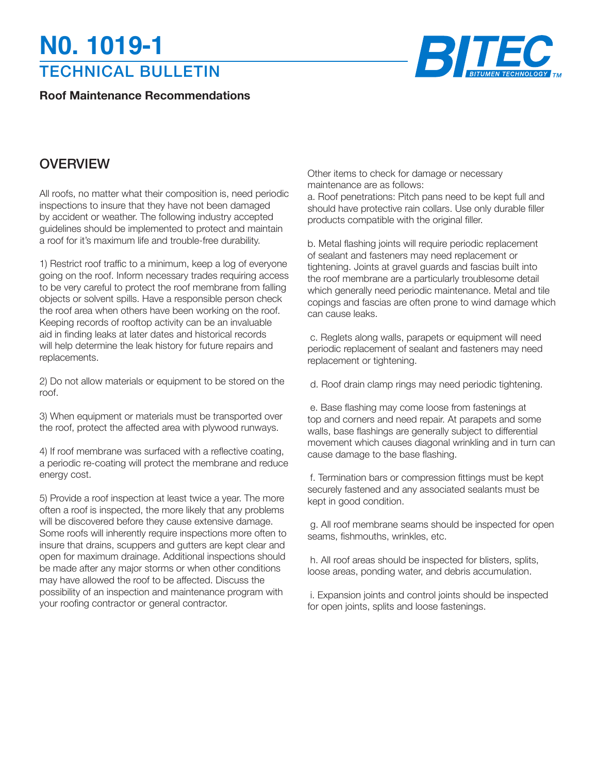## TECHNICAL BULLETIN **N0. 1019-1**

**Roof Maintenance Recommendations**



## **OVERVIEW**

All roofs, no matter what their composition is, need periodic inspections to insure that they have not been damaged by accident or weather. The following industry accepted guidelines should be implemented to protect and maintain a roof for it's maximum life and trouble-free durability.

1) Restrict roof traffic to a minimum, keep a log of everyone going on the roof. Inform necessary trades requiring access to be very careful to protect the roof membrane from falling objects or solvent spills. Have a responsible person check the roof area when others have been working on the roof. Keeping records of rooftop activity can be an invaluable aid in finding leaks at later dates and historical records will help determine the leak history for future repairs and replacements.

2) Do not allow materials or equipment to be stored on the roof.

3) When equipment or materials must be transported over the roof, protect the affected area with plywood runways.

4) If roof membrane was surfaced with a reflective coating, a periodic re-coating will protect the membrane and reduce energy cost.

5) Provide a roof inspection at least twice a year. The more often a roof is inspected, the more likely that any problems will be discovered before they cause extensive damage. Some roofs will inherently require inspections more often to insure that drains, scuppers and gutters are kept clear and open for maximum drainage. Additional inspections should be made after any major storms or when other conditions may have allowed the roof to be affected. Discuss the possibility of an inspection and maintenance program with your roofing contractor or general contractor.

Other items to check for damage or necessary maintenance are as follows:

a. Roof penetrations: Pitch pans need to be kept full and should have protective rain collars. Use only durable filler products compatible with the original filler.

b. Metal flashing joints will require periodic replacement of sealant and fasteners may need replacement or tightening. Joints at gravel guards and fascias built into the roof membrane are a particularly troublesome detail which generally need periodic maintenance. Metal and tile copings and fascias are often prone to wind damage which can cause leaks.

 c. Reglets along walls, parapets or equipment will need periodic replacement of sealant and fasteners may need replacement or tightening.

d. Roof drain clamp rings may need periodic tightening.

 e. Base flashing may come loose from fastenings at top and corners and need repair. At parapets and some walls, base flashings are generally subject to differential movement which causes diagonal wrinkling and in turn can cause damage to the base flashing.

 f. Termination bars or compression fittings must be kept securely fastened and any associated sealants must be kept in good condition.

 g. All roof membrane seams should be inspected for open seams, fishmouths, wrinkles, etc.

 h. All roof areas should be inspected for blisters, splits, loose areas, ponding water, and debris accumulation.

 i. Expansion joints and control joints should be inspected for open joints, splits and loose fastenings.